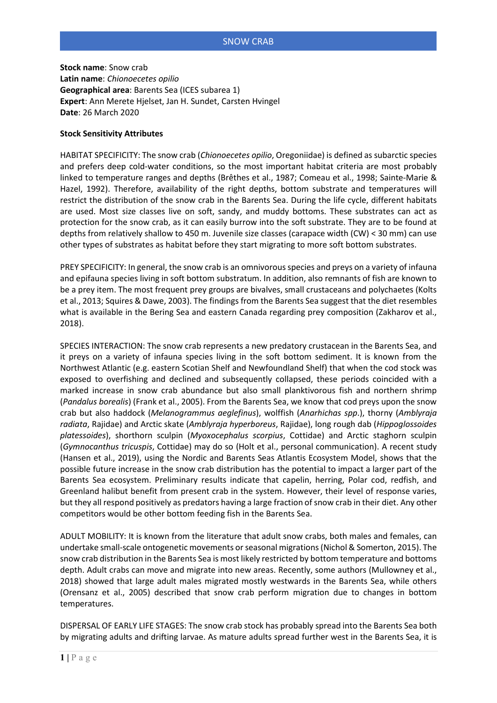# SNOW CRAB

**Stock name**: Snow crab **Latin name**: *Chionoecetes opilio* **Geographical area**: Barents Sea (ICES subarea 1) **Expert**: Ann Merete Hjelset, Jan H. Sundet, Carsten Hvingel **Date**: 26 March 2020

## **Stock Sensitivity Attributes**

HABITAT SPECIFICITY: The snow crab (*Chionoecetes opilio*, Oregoniidae) is defined as subarctic species and prefers deep cold-water conditions, so the most important habitat criteria are most probably linked to temperature ranges and depths (Brêthes et al., 1987; Comeau et al., 1998; Sainte-Marie & Hazel, 1992). Therefore, availability of the right depths, bottom substrate and temperatures will restrict the distribution of the snow crab in the Barents Sea. During the life cycle, different habitats are used. Most size classes live on soft, sandy, and muddy bottoms. These substrates can act as protection for the snow crab, as it can easily burrow into the soft substrate. They are to be found at depths from relatively shallow to 450 m. Juvenile size classes (carapace width (CW) < 30 mm) can use other types of substrates as habitat before they start migrating to more soft bottom substrates.

PREY SPECIFICITY: In general, the snow crab is an omnivorous species and preys on a variety of infauna and epifauna species living in soft bottom substratum. In addition, also remnants of fish are known to be a prey item. The most frequent prey groups are bivalves, small crustaceans and polychaetes (Kolts et al., 2013; Squires & Dawe, 2003). The findings from the Barents Sea suggest that the diet resembles what is available in the Bering Sea and eastern Canada regarding prey composition (Zakharov et al., 2018).

SPECIES INTERACTION: The snow crab represents a new predatory crustacean in the Barents Sea, and it preys on a variety of infauna species living in the soft bottom sediment. It is known from the Northwest Atlantic (e.g. eastern Scotian Shelf and Newfoundland Shelf) that when the cod stock was exposed to overfishing and declined and subsequently collapsed, these periods coincided with a marked increase in snow crab abundance but also small planktivorous fish and northern shrimp (*Pandalus borealis*) (Frank et al., 2005). From the Barents Sea, we know that cod preys upon the snow crab but also haddock (*Melanogrammus aeglefinus*), wolffish (*Anarhichas spp*.), thorny (*Amblyraja radiata*, Rajidae) and Arctic skate (*Amblyraja hyperboreus*, Rajidae), long rough dab (*Hippoglossoides platessoides*), shorthorn sculpin (*Myoxocephalus scorpius*, Cottidae) and Arctic staghorn sculpin (*Gymnocanthus tricuspis*, Cottidae) may do so (Holt et al., personal communication). A recent study (Hansen et al., 2019), using the Nordic and Barents Seas Atlantis Ecosystem Model, shows that the possible future increase in the snow crab distribution has the potential to impact a larger part of the Barents Sea ecosystem. Preliminary results indicate that capelin, herring, Polar cod, redfish, and Greenland halibut benefit from present crab in the system. However, their level of response varies, but they all respond positively as predators having a large fraction of snow crab in their diet. Any other competitors would be other bottom feeding fish in the Barents Sea.

ADULT MOBILITY: It is known from the literature that adult snow crabs, both males and females, can undertake small-scale ontogenetic movements or seasonal migrations (Nichol & Somerton, 2015). The snow crab distribution in the Barents Sea is most likely restricted by bottom temperature and bottoms depth. Adult crabs can move and migrate into new areas. Recently, some authors (Mullowney et al., 2018) showed that large adult males migrated mostly westwards in the Barents Sea, while others (Orensanz et al., 2005) described that snow crab perform migration due to changes in bottom temperatures.

DISPERSAL OF EARLY LIFE STAGES: The snow crab stock has probably spread into the Barents Sea both by migrating adults and drifting larvae. As mature adults spread further west in the Barents Sea, it is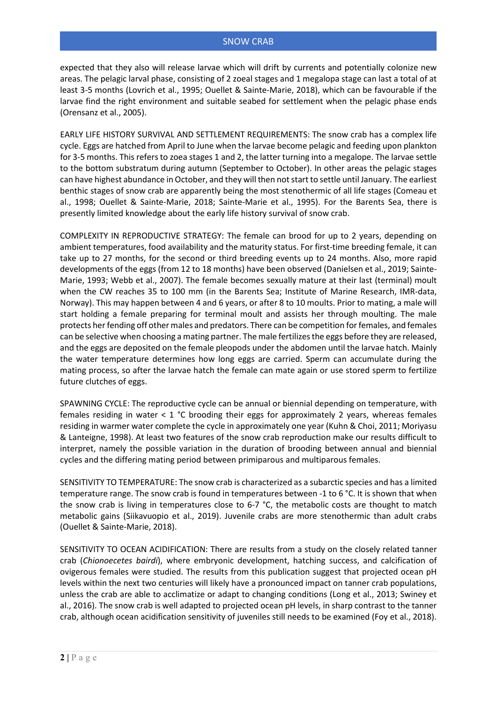expected that they also will release larvae which will drift by currents and potentially colonize new areas. The pelagic larval phase, consisting of 2 zoeal stages and 1 megalopa stage can last a total of at least 3-5 months (Lovrich et al., 1995; Ouellet & Sainte-Marie, 2018), which can be favourable if the larvae find the right environment and suitable seabed for settlement when the pelagic phase ends (Orensanz et al., 2005).

EARLY LIFE HISTORY SURVIVAL AND SETTLEMENT REQUIREMENTS: The snow crab has a complex life cycle. Eggs are hatched from April to June when the larvae become pelagic and feeding upon plankton for 3-5 months. This refers to zoea stages 1 and 2, the latter turning into a megalope. The larvae settle to the bottom substratum during autumn (September to October). In other areas the pelagic stages can have highest abundance in October, and they will then not start to settle until January. The earliest benthic stages of snow crab are apparently being the most stenothermic of all life stages (Comeau et al., 1998; Ouellet & Sainte-Marie, 2018; Sainte-Marie et al., 1995). For the Barents Sea, there is presently limited knowledge about the early life history survival of snow crab.

COMPLEXITY IN REPRODUCTIVE STRATEGY: The female can brood for up to 2 years, depending on ambient temperatures, food availability and the maturity status. For first-time breeding female, it can take up to 27 months, for the second or third breeding events up to 24 months. Also, more rapid developments of the eggs (from 12 to 18 months) have been observed (Danielsen et al., 2019; Sainte-Marie, 1993; Webb et al., 2007). The female becomes sexually mature at their last (terminal) moult when the CW reaches 35 to 100 mm (in the Barents Sea; Institute of Marine Research, IMR-data, Norway). This may happen between 4 and 6 years, or after 8 to 10 moults. Prior to mating, a male will start holding a female preparing for terminal moult and assists her through moulting. The male protects her fending off other males and predators. There can be competition for females, and females can be selective when choosing a mating partner. The male fertilizes the eggs before they are released, and the eggs are deposited on the female pleopods under the abdomen until the larvae hatch. Mainly the water temperature determines how long eggs are carried. Sperm can accumulate during the mating process, so after the larvae hatch the female can mate again or use stored sperm to fertilize future clutches of eggs.

SPAWNING CYCLE: The reproductive cycle can be annual or biennial depending on temperature, with females residing in water < 1 °C brooding their eggs for approximately 2 years, whereas females residing in warmer water complete the cycle in approximately one year (Kuhn & Choi, 2011; Moriyasu & Lanteigne, 1998). At least two features of the snow crab reproduction make our results difficult to interpret, namely the possible variation in the duration of brooding between annual and biennial cycles and the differing mating period between primiparous and multiparous females.

SENSITIVITY TO TEMPERATURE: The snow crab is characterized as a subarctic species and has a limited temperature range. The snow crab is found in temperatures between -1 to 6 °C. It is shown that when the snow crab is living in temperatures close to 6-7 °C, the metabolic costs are thought to match metabolic gains (Siikavuopio et al., 2019). Juvenile crabs are more stenothermic than adult crabs (Ouellet & Sainte-Marie, 2018).

SENSITIVITY TO OCEAN ACIDIFICATION: There are results from a study on the closely related tanner crab (*Chionoecetes bairdi*), where embryonic development, hatching success, and calcification of ovigerous females were studied. The results from this publication suggest that projected ocean pH levels within the next two centuries will likely have a pronounced impact on tanner crab populations, unless the crab are able to acclimatize or adapt to changing conditions (Long et al., 2013; Swiney et al., 2016). The snow crab is well adapted to projected ocean pH levels, in sharp contrast to the tanner crab, although ocean acidification sensitivity of juveniles still needs to be examined (Foy et al., 2018).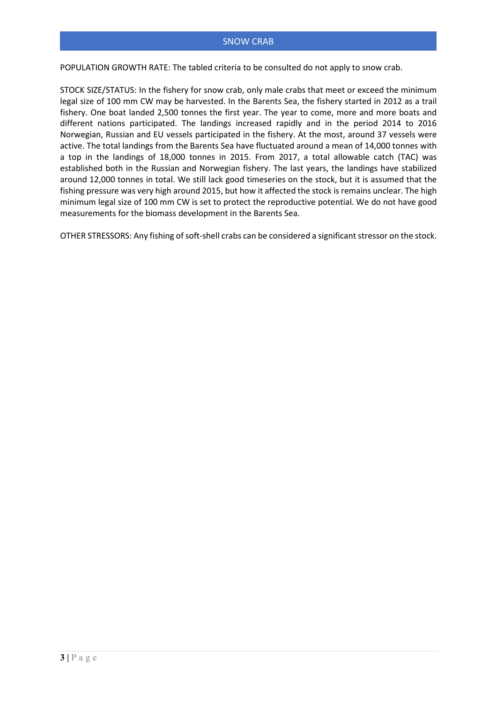POPULATION GROWTH RATE: The tabled criteria to be consulted do not apply to snow crab.

STOCK SIZE/STATUS: In the fishery for snow crab, only male crabs that meet or exceed the minimum legal size of 100 mm CW may be harvested. In the Barents Sea, the fishery started in 2012 as a trail fishery. One boat landed 2,500 tonnes the first year. The year to come, more and more boats and different nations participated. The landings increased rapidly and in the period 2014 to 2016 Norwegian, Russian and EU vessels participated in the fishery. At the most, around 37 vessels were active. The total landings from the Barents Sea have fluctuated around a mean of 14,000 tonnes with a top in the landings of 18,000 tonnes in 2015. From 2017, a total allowable catch (TAC) was established both in the Russian and Norwegian fishery. The last years, the landings have stabilized around 12,000 tonnes in total. We still lack good timeseries on the stock, but it is assumed that the fishing pressure was very high around 2015, but how it affected the stock is remains unclear. The high minimum legal size of 100 mm CW is set to protect the reproductive potential. We do not have good measurements for the biomass development in the Barents Sea.

OTHER STRESSORS: Any fishing of soft-shell crabs can be considered a significant stressor on the stock.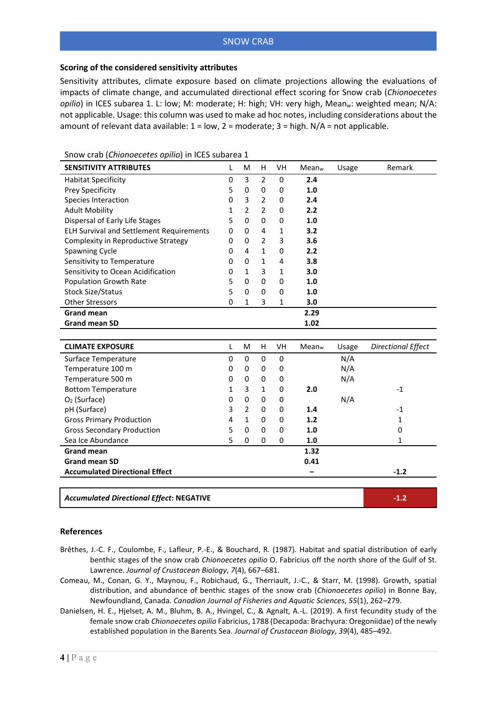## SNOW CRAB

## **Scoring of the considered sensitivity attributes**

Sensitivity attributes, climate exposure based on climate projections allowing the evaluations of impacts of climate change, and accumulated directional effect scoring for Snow crab (*Chionoecetes opilio*) in ICES subarea 1. L: low; M: moderate; H: high; VH: very high, Meanw: weighted mean; N/A: not applicable. Usage: this column was used to make ad hoc notes, including considerations about the amount of relevant data available:  $1 = low$ ,  $2 = moderate$ ;  $3 = high$ .  $N/A = not$  applicable.

| <b>SENSITIVITY ATTRIBUTES</b>                   | L              | M              | H              | VH           | Mean <sub>w</sub>        | Usage | Remark                    |
|-------------------------------------------------|----------------|----------------|----------------|--------------|--------------------------|-------|---------------------------|
| <b>Habitat Specificity</b>                      | $\pmb{0}$      | 3              | $\overline{2}$ | $\pmb{0}$    | 2.4                      |       |                           |
| Prey Specificity                                | 5              | 0              | 0              | 0            | 1.0                      |       |                           |
| Species Interaction                             | $\Omega$       | 3              | $\overline{2}$ | 0            | 2.4                      |       |                           |
| <b>Adult Mobility</b>                           | 1              | $\overline{2}$ | $\overline{2}$ | $\mathbf 0$  | 2.2                      |       |                           |
| Dispersal of Early Life Stages                  | 5              | $\mathbf 0$    | 0              | $\pmb{0}$    | 1.0                      |       |                           |
| <b>ELH Survival and Settlement Requirements</b> | 0              | 0              | 4              | $\mathbf{1}$ | 3.2                      |       |                           |
| Complexity in Reproductive Strategy             | 0              | 0              | $\overline{2}$ | 3            | 3.6                      |       |                           |
| <b>Spawning Cycle</b>                           | 0              | 4              | $\mathbf{1}$   | 0            | 2.2                      |       |                           |
| Sensitivity to Temperature                      | $\Omega$       | 0              | $\mathbf{1}$   | 4            | 3.8                      |       |                           |
| Sensitivity to Ocean Acidification              | 0              | $\mathbf{1}$   | 3              | $\mathbf 1$  | 3.0                      |       |                           |
| Population Growth Rate                          | 5              | $\Omega$       | $\mathbf 0$    | $\pmb{0}$    | 1.0                      |       |                           |
| <b>Stock Size/Status</b>                        | 5              | $\Omega$       | $\Omega$       | $\mathbf 0$  | 1.0                      |       |                           |
| <b>Other Stressors</b>                          | $\Omega$       | $\mathbf{1}$   | 3              | 1            | 3.0                      |       |                           |
| <b>Grand mean</b>                               |                |                |                |              | 2.29                     |       |                           |
| <b>Grand mean SD</b>                            |                |                |                |              | 1.02                     |       |                           |
|                                                 |                |                |                |              |                          |       |                           |
| <b>CLIMATE EXPOSURE</b>                         | L              | M              | H              | VH           | <b>Mean</b> <sub>w</sub> | Usage | <b>Directional Effect</b> |
| Surface Temperature                             | 0              | 0              | $\mathbf 0$    | $\pmb{0}$    |                          | N/A   |                           |
| Temperature 100 m                               | 0              | 0              | 0              | $\mathbf 0$  |                          | N/A   |                           |
| Temperature 500 m                               | 0              | 0              | 0              | 0            |                          | N/A   |                           |
| <b>Bottom Temperature</b>                       | 1              | 3              | $\mathbf{1}$   | $\mathbf 0$  | 2.0                      |       | $-1$                      |
| O <sub>2</sub> (Surface)                        | 0              | 0              | 0              | 0            |                          | N/A   |                           |
| pH (Surface)                                    | 3              | $\overline{2}$ | 0              | $\mathbf 0$  | 1.4                      |       | $-1$                      |
| <b>Gross Primary Production</b>                 | $\overline{4}$ | $\mathbf{1}$   | $\mathbf 0$    | 0            | 1.2                      |       | $\mathbf 1$               |
| <b>Gross Secondary Production</b>               | 5              | $\Omega$       | 0              | 0            | 1.0                      |       | 0                         |
| Sea Ice Abundance                               | 5              | 0              | $\mathbf 0$    | $\mathbf 0$  | 1.0                      |       | $\mathbf{1}$              |
| <b>Grand mean</b>                               |                |                |                |              | 1.32                     |       |                           |
| <b>Grand mean SD</b>                            |                |                |                |              | 0.41                     |       |                           |
| <b>Accumulated Directional Effect</b>           |                |                |                |              |                          |       | $-1.2$                    |
|                                                 |                |                |                |              |                          |       |                           |
| <b>Accumulated Directional Effect: NEGATIVE</b> |                |                |                |              |                          |       | $-1.2$                    |

Snow crab (*Chionoecetes opilio*) in ICES subarea 1

#### **References**

- Brêthes, J.-C. F., Coulombe, F., Lafleur, P.-E., & Bouchard, R. (1987). Habitat and spatial distribution of early benthic stages of the snow crab *Chionoecetes opilio* O. Fabricius off the north shore of the Gulf of St. Lawrence. *Journal of Crustacean Biology*, *7*(4), 667–681.
- Comeau, M., Conan, G. Y., Maynou, F., Robichaud, G., Therriault, J.-C., & Starr, M. (1998). Growth, spatial distribution, and abundance of benthic stages of the snow crab (*Chionoecetes opilio*) in Bonne Bay, Newfoundland, Canada. *Canadian Journal of Fisheries and Aquatic Sciences*, *55*(1), 262–279.
- Danielsen, H. E., Hjelset, A. M., Bluhm, B. A., Hvingel, C., & Agnalt, A.-L. (2019). A first fecundity study of the female snow crab *Chionoecetes opilio* Fabricius, 1788 (Decapoda: Brachyura: Oregoniidae) of the newly established population in the Barents Sea. *Journal of Crustacean Biology*, *39*(4), 485–492.